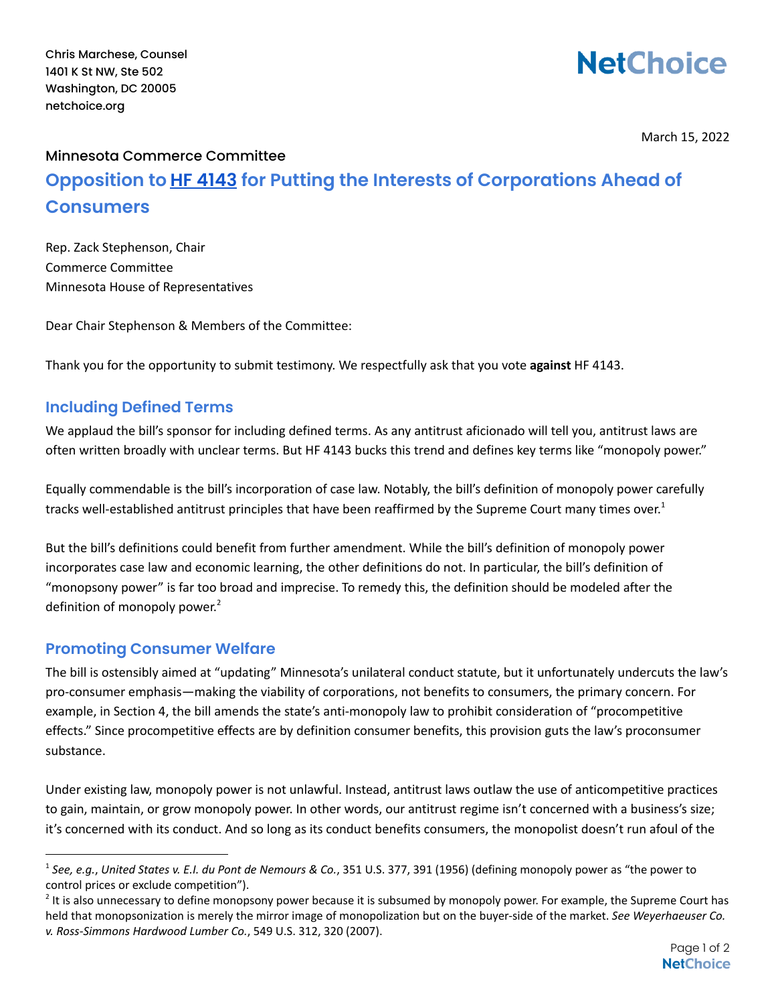Chris Marchese, Counsel 1401 K St NW, Ste 502 Washington, DC 20005 netchoice.org

## **NetChoice**

March 15, 2022

## Minnesota Commerce Committee **Opposition to HF [4143](https://www.revisor.mn.gov/bills/text.php?number=HF4143&version=latest&session=92&session_number=0&session_year=2021&format=pdf) for Putting the Interests of Corporations Ahead of Consumers**

Rep. Zack Stephenson, Chair Commerce Committee Minnesota House of Representatives

Dear Chair Stephenson & Members of the Committee:

Thank you for the opportunity to submit testimony. We respectfully ask that you vote **against** HF 4143.

## **Including Defined Terms**

We applaud the bill's sponsor for including defined terms. As any antitrust aficionado will tell you, antitrust laws are often written broadly with unclear terms. But HF 4143 bucks this trend and defines key terms like "monopoly power."

Equally commendable is the bill's incorporation of case law. Notably, the bill's definition of monopoly power carefully tracks well-established antitrust principles that have been reaffirmed by the Supreme Court many times over.<sup>1</sup>

But the bill's definitions could benefit from further amendment. While the bill's definition of monopoly power incorporates case law and economic learning, the other definitions do not. In particular, the bill's definition of "monopsony power" is far too broad and imprecise. To remedy this, the definition should be modeled after the definition of monopoly power.<sup>2</sup>

## **Promoting Consumer Welfare**

The bill is ostensibly aimed at "updating" Minnesota's unilateral conduct statute, but it unfortunately undercuts the law's pro-consumer emphasis—making the viability of corporations, not benefits to consumers, the primary concern. For example, in Section 4, the bill amends the state's anti-monopoly law to prohibit consideration of "procompetitive effects." Since procompetitive effects are by definition consumer benefits, this provision guts the law's proconsumer substance.

Under existing law, monopoly power is not unlawful. Instead, antitrust laws outlaw the use of anticompetitive practices to gain, maintain, or grow monopoly power. In other words, our antitrust regime isn't concerned with a business's size; it's concerned with its conduct. And so long as its conduct benefits consumers, the monopolist doesn't run afoul of the

<sup>1</sup> *See, e.g.*, *United States v. E.I. du Pont de Nemours & Co.*, 351 U.S. 377, 391 (1956) (defining monopoly power as "the power to control prices or exclude competition").

 $^2$  It is also unnecessary to define monopsony power because it is subsumed by monopoly power. For example, the Supreme Court has held that monopsonization is merely the mirror image of monopolization but on the buyer-side of the market. *See Weyerhaeuser Co. v. Ross-Simmons Hardwood Lumber Co.*, 549 U.S. 312, 320 (2007).